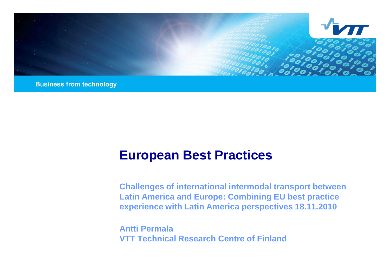

**Business from technology** 

## **European Best Practices**

**Challenges of international intermodal transport between Latin America and Europe: Combining EU best practice experience with Latin America perspectives 18.11.2010**

**Antti Permala VTT Technical Research Centre of Finland**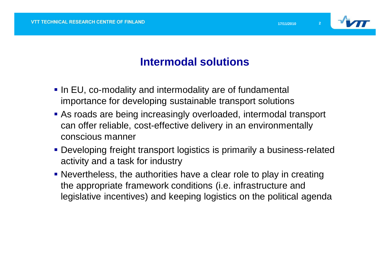

### **Intermodal solutions**

- In EU, co-modality and intermodality are of fundamental importance for developing sustainable transport solutions
- As roads are being increasingly overloaded, intermodal transport can offer reliable, cost-effective delivery in an environmentally conscious manner
- Developing freight transport logistics is primarily a business-related activity and a task for industry
- Nevertheless, the authorities have a clear role to play in creating the appropriate framework conditions (i.e. infrastructure and legislative incentives) and keeping logistics on the political agenda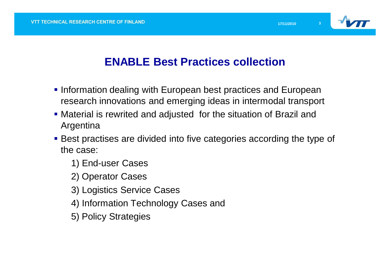

### **ENABLE Best Practices collection**

- **Information dealing with European best practices and European** research innovations and emerging ideas in intermodal transport
- Material is rewrited and adjusted for the situation of Brazil and Argentina
- Best practises are divided into five categories according the type of the case:
	- 1) End-user Cases
	- 2) Operator Cases
	- 3) Logistics Service Cases
	- 4) Information Technology Cases and
	- 5) Policy Strategies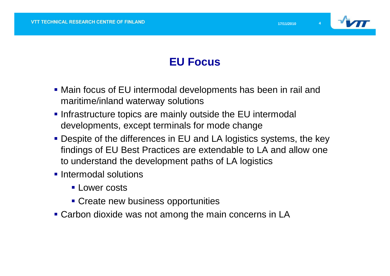

### **EU Focus**

- Main focus of EU intermodal developments has been in rail and maritime/inland waterway solutions
- **Infrastructure topics are mainly outside the EU intermodal** developments, except terminals for mode change
- Despite of the differences in EU and LA logistics systems, the key findings of EU Best Practices are extendable to LA and allow one to understand the development paths of LA logistics
- **Intermodal solutions** 
	- **Lower costs**
	- **Create new business opportunities**
- Carbon dioxide was not among the main concerns in LA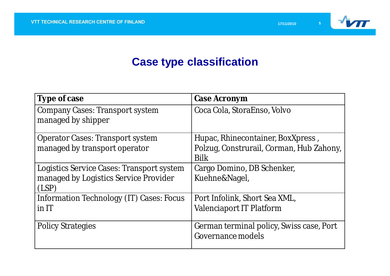

### **Case type classification**

| Type of case                                          | Case Acronym                                                  |
|-------------------------------------------------------|---------------------------------------------------------------|
| Company Cases: Transport system<br>managed by shipper | Coca Cola, StoraEnso, Volvo                                   |
| <b>Operator Cases: Transport system</b>               | Hupac, Rhinecontainer, BoxXpress,                             |
| managed by transport operator                         | Polzug, Construrail, Corman, Hub Zahony,<br><b>Bilk</b>       |
| Logistics Service Cases: Transport system             | Cargo Domino, DB Schenker,                                    |
| managed by Logistics Service Provider<br>(LSP)        | Kuehne&Nagel,                                                 |
| Information Technology (IT) Cases: Focus              | Port Infolink, Short Sea XML,                                 |
| $in$ IT                                               | <b>Valenciaport IT Platform</b>                               |
| <b>Policy Strategies</b>                              | German terminal policy, Swiss case, Port<br>Governance models |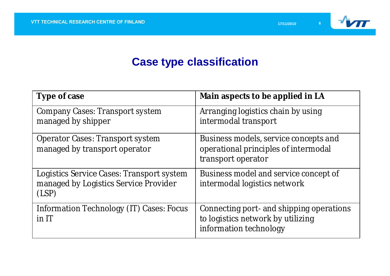

### **Case type classification**

| Type of case                                                                                | Main aspects to be applied in LA                                                                        |
|---------------------------------------------------------------------------------------------|---------------------------------------------------------------------------------------------------------|
| Company Cases: Transport system<br>managed by shipper                                       | Arranging logistics chain by using<br>intermodal transport                                              |
| <b>Operator Cases: Transport system</b><br>managed by transport operator                    | Business models, service concepts and<br>operational principles of intermodal<br>transport operator     |
| Logistics Service Cases: Transport system<br>managed by Logistics Service Provider<br>(LSP) | Business model and service concept of<br>intermodal logistics network                                   |
| Information Technology (IT) Cases: Focus<br>$in$ IT                                         | Connecting port- and shipping operations<br>to logistics network by utilizing<br>information technology |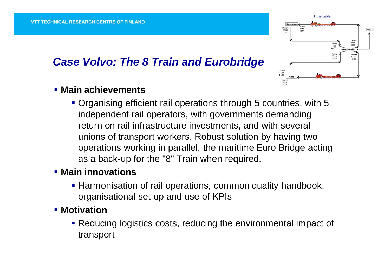### *Case Volvo: The 8 Train and Eurobridge*



#### **Main achievements**

 Organising efficient rail operations through 5 countries, with 5 independent rail operators, with governments demanding return on rail infrastructure investments, and with several unions of transport workers. Robust solution by having two operations working in parallel, the maritime Euro Bridge acting as a back-up for the "8" Train when required.

#### **Main innovations**

- **Harmonisation of rail operations, common quality handbook,** organisational set-up and use of KPIs
- **Motivation** 
	- **Reducing logistics costs, reducing the environmental impact of** transport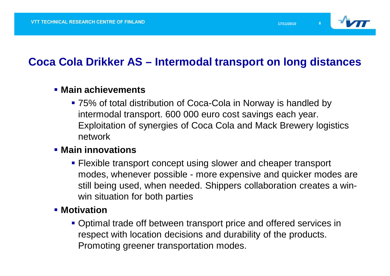

### **Coca Cola Drikker AS – Intermodal transport on long distances**

#### **Main achievements**

 75% of total distribution of Coca-Cola in Norway is handled by intermodal transport. 600 000 euro cost savings each year. Exploitation of synergies of Coca Cola and Mack Brewery logistics network

#### **Main innovations**

 Flexible transport concept using slower and cheaper transport modes, whenever possible - more expensive and quicker modes are still being used, when needed. Shippers collaboration creates a winwin situation for both parties

#### **Motivation**

**- Optimal trade off between transport price and offered services in** respect with location decisions and durability of the products. Promoting greener transportation modes.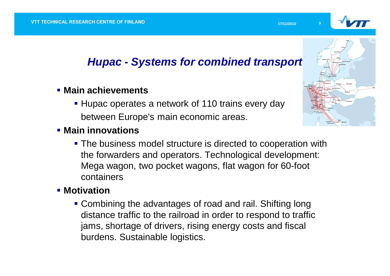

### *Hupac - Systems for combined transport*

- **Main achievements**
	- **Hupac operates a network of 110 trains every day** between Europe's main economic areas.
- **Main innovations** 
	- **The business model structure is directed to cooperation with** the forwarders and operators. Technological development: Mega wagon, two pocket wagons, flat wagon for 60-foot containers

### **Motivation**

• Combining the advantages of road and rail. Shifting long distance traffic to the railroad in order to respond to traffic jams, shortage of drivers, rising energy costs and fiscal burdens. Sustainable logistics.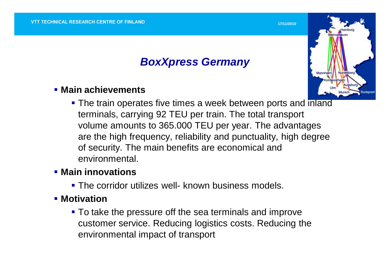### *BoxXpress Germany*

#### **Main achievements**

**The train operates five times a week between ports and inland** terminals, carrying 92 TEU per train. The total transport volume amounts to 365.000 TEU per year. The advantages are the high frequency, reliability and punctuality, high degree of security. The main benefits are economical and environmental.

#### **Main innovations**

**The corridor utilizes well- known business models.** 

#### **Motivation**

**To take the pressure off the sea terminals and improve** customer service. Reducing logistics costs. Reducing the environmental impact of transport



**17/11/2010 10**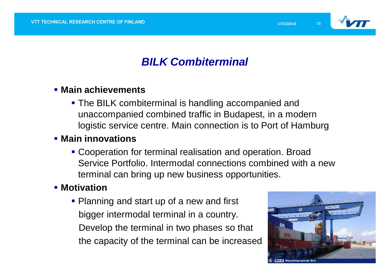

### *BILK Combiterminal*

#### **Main achievements**

**The BILK combiterminal is handling accompanied and** unaccompanied combined traffic in Budapest, in a modern logistic service centre. Main connection is to Port of Hamburg

#### **Main innovations**

**Cooperation for terminal realisation and operation. Broad** Service Portfolio. Intermodal connections combined with a new terminal can bring up new business opportunities.

#### **Motivation**

• Planning and start up of a new and first bigger intermodal terminal in a country. Develop the terminal in two phases so that the capacity of the terminal can be increased

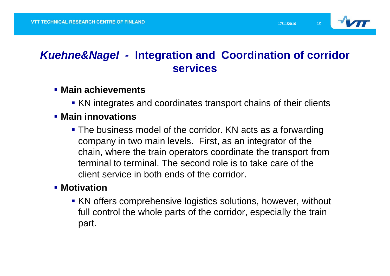

### *Kuehne&Nagel -* **Integration and Coordination of corridor services**

- **Main achievements**
	- KN integrates and coordinates transport chains of their clients

#### **Main innovations**

**The business model of the corridor. KN acts as a forwarding** company in two main levels. First, as an integrator of the chain, where the train operators coordinate the transport from terminal to terminal. The second role is to take care of the client service in both ends of the corridor.

#### **Motivation**

 KN offers comprehensive logistics solutions, however, without full control the whole parts of the corridor, especially the train part.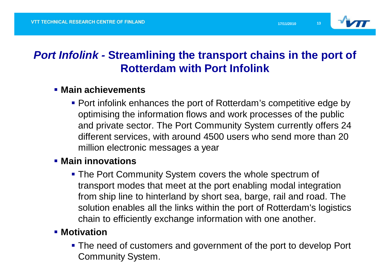

### *Port Infolink -* **Streamlining the transport chains in the port of Rotterdam with Port Infolink**

#### **Main achievements**

**Port infolink enhances the port of Rotterdam's competitive edge by** optimising the information flows and work processes of the public and private sector. The Port Community System currently offers 24 different services, with around 4500 users who send more than 20 million electronic messages a year

#### **Main innovations**

**The Port Community System covers the whole spectrum of** transport modes that meet at the port enabling modal integration from ship line to hinterland by short sea, barge, rail and road. The solution enables all the links within the port of Rotterdam's logistics chain to efficiently exchange information with one another.

#### **Motivation**

**The need of customers and government of the port to develop Port** Community System.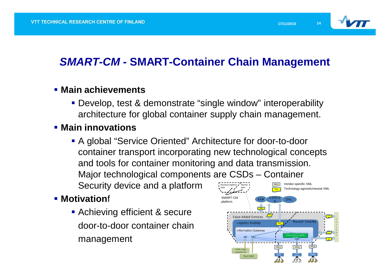

### *SMART-CM -* **SMART-Container Chain Management**

#### **Main achievements**

 Develop, test & demonstrate "single window" interoperability architecture for global container supply chain management.

#### **Main innovations**

 A global "Service Oriented" Architecture for door-to-door container transport incorporating new technological concepts and tools for container monitoring and data transmission. Major technological components are CSDs – Container Security device and a platform Neutral layer X ML1 Vendor-specific XML Technology-agnostic/neutral XML Business logistics layer

#### **Motivation**f

 Achieving efficient & secure door-to-door container chain management

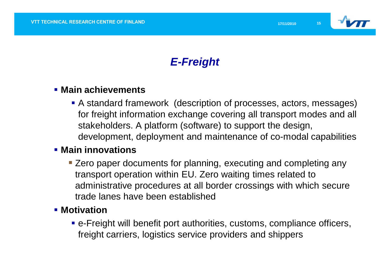

### *E-Freight*

#### **Main achievements**

 A standard framework (description of processes, actors, messages) for freight information exchange covering all transport modes and all stakeholders. A platform (software) to support the design, development, deployment and maintenance of co-modal capabilities

#### **Main innovations**

**Example 2 Zero paper documents for planning, executing and completing any** transport operation within EU. Zero waiting times related to administrative procedures at all border crossings with which secure trade lanes have been established

#### **Motivation**

 e-Freight will benefit port authorities, customs, compliance officers, freight carriers, logistics service providers and shippers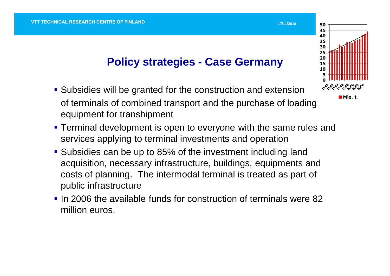### **Policy strategies - Case Germany**

- Subsidies will be granted for the construction and extension of terminals of combined transport and the purchase of loading equipment for transhipment
- **Terminal development is open to everyone with the same rules and** services applying to terminal investments and operation
- Subsidies can be up to 85% of the investment including land acquisition, necessary infrastructure, buildings, equipments and costs of planning. The intermodal terminal is treated as part of public infrastructure
- $\blacksquare$  In 2006 the available funds for construction of terminals were 82 million euros.



**17/11/2010 16150**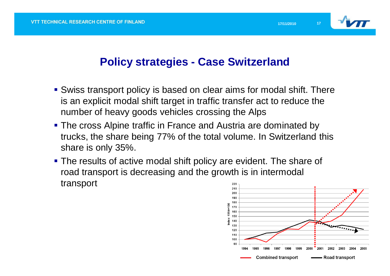

### **Policy strategies - Case Switzerland**

- Swiss transport policy is based on clear aims for modal shift. There is an explicit modal shift target in traffic transfer act to reduce the number of heavy goods vehicles crossing the Alps
- **The cross Alpine traffic in France and Austria are dominated by** trucks, the share being 77% of the total volume. In Switzerland this share is only 35%.
- The results of active modal shift policy are evident. The share of road transport is decreasing and the growth is in intermodal transport 220